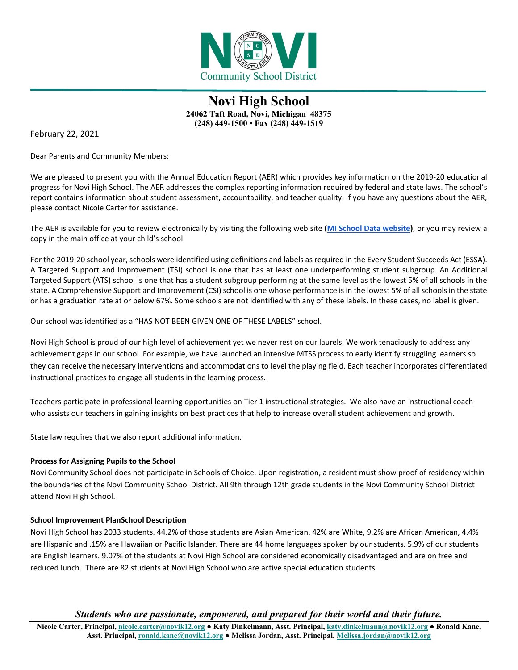

February 22, 2021

Dear Parents and Community Members:

We are pleased to present you with the Annual Education Report (AER) which provides key information on the 2019-20 educational progress for Novi High School. The AER addresses the complex reporting information required by federal and state laws. The school's report contains information about student assessment, accountability, and teacher quality. If you have any questions about the AER, please contact Nicole Carter for assistance.

The AER is available for you to review electronically by visiting the following web site **[\(MI School Data website\)](https://bit.ly/2NF9ljp)**, or you may review a copy in the main office at your child's school.

For the 2019-20 school year, schools were identified using definitions and labels as required in the Every Student Succeeds Act (ESSA). A Targeted Support and Improvement (TSI) school is one that has at least one underperforming student subgroup. An Additional Targeted Support (ATS) school is one that has a student subgroup performing at the same level as the lowest 5% of all schools in the state. A Comprehensive Support and Improvement (CSI) school is one whose performance is in the lowest 5% of all schools in the state or has a graduation rate at or below 67%. Some schools are not identified with any of these labels. In these cases, no label is given.

Our school was identified as a "HAS NOT BEEN GIVEN ONE OF THESE LABELS" school.

Novi High School is proud of our high level of achievement yet we never rest on our laurels. We work tenaciously to address any achievement gaps in our school. For example, we have launched an intensive MTSS process to early identify struggling learners so they can receive the necessary interventions and accommodations to level the playing field. Each teacher incorporates differentiated instructional practices to engage all students in the learning process.

Teachers participate in professional learning opportunities on Tier 1 instructional strategies. We also have an instructional coach who assists our teachers in gaining insights on best practices that help to increase overall student achievement and growth.

State law requires that we also report additional information.

## **Process for Assigning Pupils to the School**

Novi Community School does not participate in Schools of Choice. Upon registration, a resident must show proof of residency within the boundaries of the Novi Community School District. All 9th through 12th grade students in the Novi Community School District attend Novi High School.

#### **School Improvement PlanSchool Description**

Novi High School has 2033 students. 44.2% of those students are Asian American, 42% are White, 9.2% are African American, 4.4% are Hispanic and .15% are Hawaiian or Pacific Islander. There are 44 home languages spoken by our students. 5.9% of our students are English learners. 9.07% of the students at Novi High School are considered economically disadvantaged and are on free and reduced lunch. There are 82 students at Novi High School who are active special education students.

*Students who are passionate, empowered, and prepared for their world and their future.*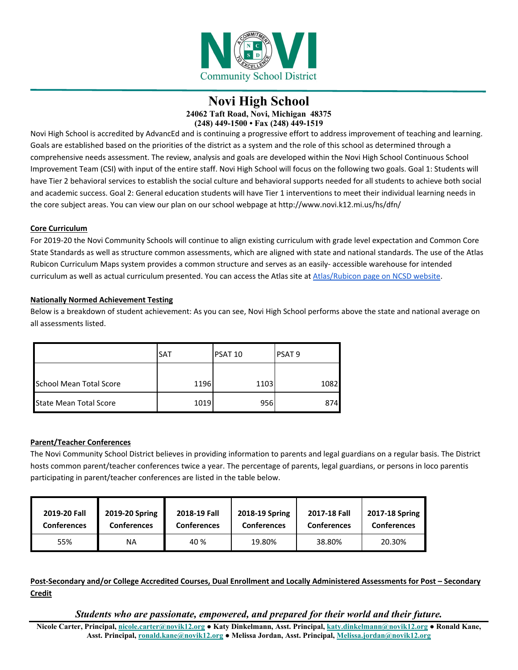

Novi High School is accredited by AdvancEd and is continuing a progressive effort to address improvement of teaching and learning. Goals are established based on the priorities of the district as a system and the role of this school as determined through a comprehensive needs assessment. The review, analysis and goals are developed within the Novi High School Continuous School Improvement Team (CSI) with input of the entire staff. Novi High School will focus on the following two goals. Goal 1: Students will have Tier 2 behavioral services to establish the social culture and behavioral supports needed for all students to achieve both social and academic success. Goal 2: General education students will have Tier 1 interventions to meet their individual learning needs in the core subject areas. You can view our plan on our school webpage at http://www.novi.k12.mi.us/hs/dfn/

#### **Core Curriculum**

For 2019-20 the Novi Community Schools will continue to align existing curriculum with grade level expectation and Common Core State Standards as well as structure common assessments, which are aligned with state and national standards. The use of the Atlas Rubicon Curriculum Maps system provides a common structure and serves as an easily- accessible warehouse for intended curriculum as well as actual curriculum presented. You can access the Atlas site at Atlas/Rubicon page on NCSD website.

#### **Nationally Normed Achievement Testing**

Below is a breakdown of student achievement: As you can see, Novi High School performs above the state and national average on all assessments listed.

|                         | <b>SAT</b> | PSAT 10 | <b>PSAT 9</b> |
|-------------------------|------------|---------|---------------|
| School Mean Total Score | 1196       | 1103    | 1082          |
| State Mean Total Score  | 1019       | 956     | 874           |

## **Parent/Teacher Conferences**

The Novi Community School District believes in providing information to parents and legal guardians on a regular basis. The District hosts common parent/teacher conferences twice a year. The percentage of parents, legal guardians, or persons in loco parentis participating in parent/teacher conferences are listed in the table below.

| 2019-20 Fall       | 2019-20 Spring     | 2018-19 Fall       | 2018-19 Spring     | 2017-18 Fall       | 2017-18 Spring     |
|--------------------|--------------------|--------------------|--------------------|--------------------|--------------------|
| <b>Conferences</b> | <b>Conferences</b> | <b>Conferences</b> | <b>Conferences</b> | <b>Conferences</b> | <b>Conferences</b> |
| 55%                | ΝA                 | 40 %               | 19.80%             | 38.80%             | 20.30%             |

**Post-Secondary and/or College Accredited Courses, Dual Enrollment and Locally Administered Assessments for Post – Secondary Credit** 

*Students who are passionate, empowered, and prepared for their world and their future.*

**Nicole Carter, Principal, [nicole.carter@novik12.org](mailto:nicole.carter@novik12.org) ● Katy Dinkelmann, Asst. Principal[, katy.dinkelmann@novik12.org](mailto:katy.dinkelmann@novik12.org) ● Ronald Kane, Asst. Principal, [ronald.kane@novik12.org](mailto:ronald.kane@novik12.org) ● Melissa Jordan, Asst. Principal, [Melissa.jordan@novik12.org](mailto:Melissa.jordan@novik12.org)**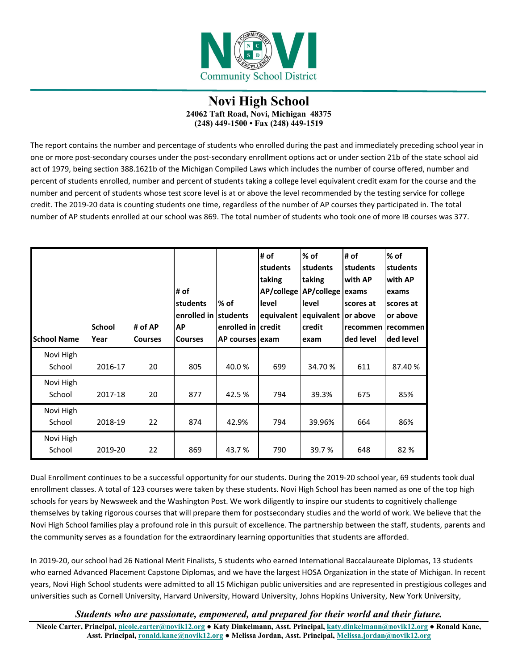

The report contains the number and percentage of students who enrolled during the past and immediately preceding school year in one or more post-secondary courses under the post-secondary enrollment options act or under section 21b of the state school aid act of 1979, being section 388.1621b of the Michigan Compiled Laws which includes the number of course offered, number and percent of students enrolled, number and percent of students taking a college level equivalent credit exam for the course and the number and percent of students whose test score level is at or above the level recommended by the testing service for college credit. The 2019-20 data is counting students one time, regardless of the number of AP courses they participated in. The total number of AP students enrolled at our school was 869. The total number of students who took one of more IB courses was 377.

| <b>School Name</b>  | <b>School</b><br>Year | # of AP<br><b>Courses</b> | # of<br>students<br>enrolled in students<br><b>AP</b><br><b>Courses</b> | $%$ of<br>enrolled in credit<br>AP courses exam | # of<br>students<br>taking<br>level | $%$ of<br>students<br>taking<br>AP/college   AP/college   exams<br>llevel<br>equivalent equivalent or above<br>credit<br>exam | # of<br>students<br>with AP<br>scores at<br>recommen<br>ded level | $%$ of<br>students<br>with AP<br>exams<br>scores at<br>or above<br>recommen<br>ded level |
|---------------------|-----------------------|---------------------------|-------------------------------------------------------------------------|-------------------------------------------------|-------------------------------------|-------------------------------------------------------------------------------------------------------------------------------|-------------------------------------------------------------------|------------------------------------------------------------------------------------------|
| Novi High<br>School | 2016-17               | 20                        | 805                                                                     | 40.0%                                           | 699                                 | 34.70 %                                                                                                                       | 611                                                               | 87.40 %                                                                                  |
| Novi High<br>School | 2017-18               | 20                        | 877                                                                     | 42.5 %                                          | 794                                 | 39.3%                                                                                                                         | 675                                                               | 85%                                                                                      |
| Novi High<br>School | 2018-19               | 22                        | 874                                                                     | 42.9%                                           | 794                                 | 39.96%                                                                                                                        | 664                                                               | 86%                                                                                      |
| Novi High<br>School | 2019-20               | 22                        | 869                                                                     | 43.7 %                                          | 790                                 | 39.7 %                                                                                                                        | 648                                                               | 82 %                                                                                     |

Dual Enrollment continues to be a successful opportunity for our students. During the 2019-20 school year, 69 students took dual enrollment classes. A total of 123 courses were taken by these students. Novi High School has been named as one of the top high schools for years by Newsweek and the Washington Post. We work diligently to inspire our students to cognitively challenge themselves by taking rigorous courses that will prepare them for postsecondary studies and the world of work. We believe that the Novi High School families play a profound role in this pursuit of excellence. The partnership between the staff, students, parents and the community serves as a foundation for the extraordinary learning opportunities that students are afforded.

In 2019-20, our school had 26 National Merit Finalists, 5 students who earned International Baccalaureate Diplomas, 13 students who earned Advanced Placement Capstone Diplomas, and we have the largest HOSA Organization in the state of Michigan. In recent years, Novi High School students were admitted to all 15 Michigan public universities and are represented in prestigious colleges and universities such as Cornell University, Harvard University, Howard University, Johns Hopkins University, New York University,

*Students who are passionate, empowered, and prepared for their world and their future.*

**Nicole Carter, Principal, [nicole.carter@novik12.org](mailto:nicole.carter@novik12.org) ● Katy Dinkelmann, Asst. Principal[, katy.dinkelmann@novik12.org](mailto:katy.dinkelmann@novik12.org) ● Ronald Kane, Asst. Principal, [ronald.kane@novik12.org](mailto:ronald.kane@novik12.org) ● Melissa Jordan, Asst. Principal, [Melissa.jordan@novik12.org](mailto:Melissa.jordan@novik12.org)**